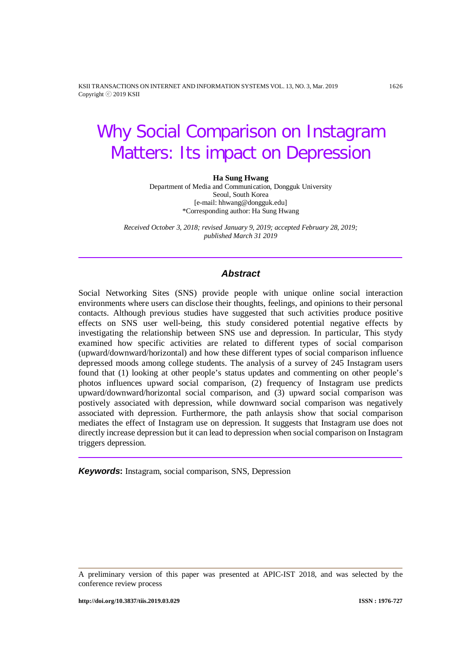KSII TRANSACTIONS ON INTERNET AND INFORMATION SYSTEMS VOL. 13, NO. 3, Mar. 2019 1626 Copyright ⓒ 2019 KSII

# Why Social Comparison on Instagram Matters: Its impact on Depression

#### **Ha Sung Hwang**

Department of Media and Communication, Dongguk University Seoul, South Korea [e-mail: hhwang@dongguk.edu] \*Corresponding author: Ha Sung Hwang

*Received October 3, 2018; revised January 9, 2019; accepted February 28, 2019; published March 31 2019*

# *Abstract*

Social Networking Sites (SNS) provide people with unique online social interaction environments where users can disclose their thoughts, feelings, and opinions to their personal contacts. Although previous studies have suggested that such activities produce positive effects on SNS user well-being, this study considered potential negative effects by investigating the relationship between SNS use and depression. In particular, This stydy examined how specific activities are related to different types of social comparison (upward/downward/horizontal) and how these different types of social comparison influence depressed moods among college students. The analysis of a survey of 245 Instagram users found that (1) looking at other people's status updates and commenting on other people's photos influences upward social comparison, (2) frequency of Instagram use predicts upward/downward/horizontal social comparison, and (3) upward social comparison was postively associated with depression, while downward social comparison was negatively associated with depression. Furthermore, the path anlaysis show that social comparison mediates the effect of Instagram use on depression. It suggests that Instagram use does not directly increase depression but it can lead to depression when social comparison on Instagram triggers depression.

*Keywords***:** Instagram, social comparison, SNS, Depression

A preliminary version of this paper was presented at APIC-IST 2018, and was selected by the conference review process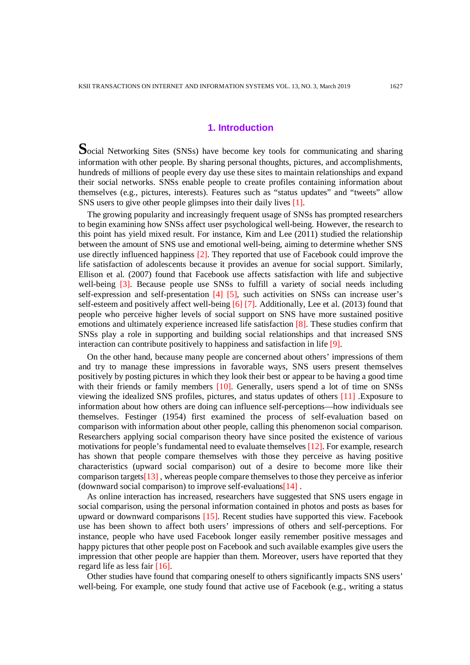# **1. Introduction**

**S**ocial Networking Sites (SNSs) have become key tools for communicating and sharing information with other people. By sharing personal thoughts, pictures, and accomplishments, hundreds of millions of people every day use these sites to maintain relationships and expand their social networks. SNSs enable people to create profiles containing information about themselves (e.g., pictures, interests). Features such as "status updates" and "tweets" allow SNS users to give other people glimpses into their daily lives [1].

The growing popularity and increasingly frequent usage of SNSs has prompted researchers to begin examining how SNSs affect user psychological well-being. However, the research to this point has yield mixed result. For instance, Kim and Lee (2011) studied the relationship between the amount of SNS use and emotional well-being, aiming to determine whether SNS use directly influenced happiness [2]. They reported that use of Facebook could improve the life satisfaction of adolescents because it provides an avenue for social support. Similarly, Ellison et al. (2007) found that Facebook use affects satisfaction with life and subjective well-being [3]. Because people use SNSs to fulfill a variety of social needs including self-expression and self-presentation [4] [5], such activities on SNSs can increase user's self-esteem and positively affect well-being [6] [7]. Additionally, Lee et al. (2013) found that people who perceive higher levels of social support on SNS have more sustained positive emotions and ultimately experience increased life satisfaction [8]. These studies confirm that SNSs play a role in supporting and building social relationships and that increased SNS interaction can contribute positively to happiness and satisfaction in life [9].

On the other hand, because many people are concerned about others' impressions of them and try to manage these impressions in favorable ways, SNS users present themselves positively by posting pictures in which they look their best or appear to be having a good time with their friends or family members [10]. Generally, users spend a lot of time on SNSs viewing the idealized SNS profiles, pictures, and status updates of others [11] .Exposure to information about how others are doing can influence self-perceptions—how individuals see themselves. Festinger (1954) first examined the process of self-evaluation based on comparison with information about other people, calling this phenomenon social comparison. Researchers applying social comparison theory have since posited the existence of various motivations for people's fundamental need to evaluate themselves [12]. For example, research has shown that people compare themselves with those they perceive as having positive characteristics (upward social comparison) out of a desire to become more like their comparison targets[13] , whereas people compare themselves to those they perceive as inferior (downward social comparison) to improve self-evaluations[14] .

As online interaction has increased, researchers have suggested that SNS users engage in social comparison, using the personal information contained in photos and posts as bases for upward or downward comparisons [15]. Recent studies have supported this view. Facebook use has been shown to affect both users' impressions of others and self-perceptions. For instance, people who have used Facebook longer easily remember positive messages and happy pictures that other people post on Facebook and such available examples give users the impression that other people are happier than them. Moreover, users have reported that they regard life as less fair [16].

Other studies have found that comparing oneself to others significantly impacts SNS users' well-being. For example, one study found that active use of Facebook (e.g., writing a status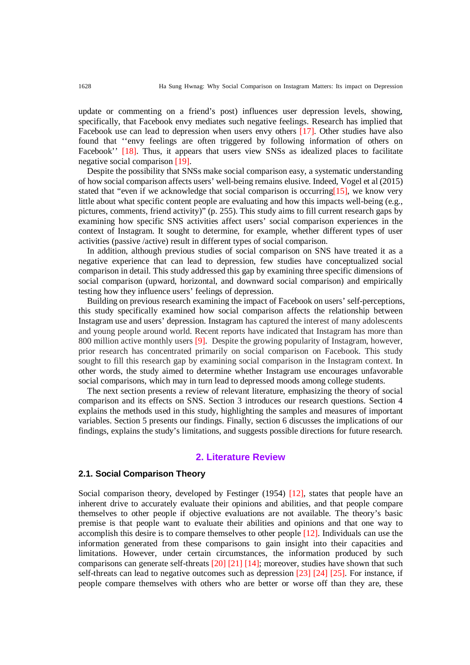update or commenting on a friend's post) influences user depression levels, showing, specifically, that Facebook envy mediates such negative feelings. Research has implied that Facebook use can lead to depression when users envy others [17]. Other studies have also found that ''envy feelings are often triggered by following information of others on Facebook'' [18]. Thus, it appears that users view SNSs as idealized places to facilitate negative social comparison [19].

Despite the possibility that SNSs make social comparison easy, a systematic understanding of how social comparison affects users' well-being remains elusive. Indeed, Vogel et al (2015) stated that "even if we acknowledge that social comparison is occurring  $[15]$ , we know very little about what specific content people are evaluating and how this impacts well-being (e.g., pictures, comments, friend activity)" (p. 255). This study aims to fill current research gaps by examining how specific SNS activities affect users' social comparison experiences in the context of Instagram. It sought to determine, for example, whether different types of user activities (passive /active) result in different types of social comparison.

In addition, although previous studies of social comparison on SNS have treated it as a negative experience that can lead to depression, few studies have conceptualized social comparison in detail. This study addressed this gap by examining three specific dimensions of social comparison (upward, horizontal, and downward social comparison) and empirically testing how they influence users' feelings of depression.

Building on previous research examining the impact of Facebook on users' self-perceptions, this study specifically examined how social comparison affects the relationship between Instagram use and users' depression. Instagram has captured the interest of many adolescents and young people around world. Recent reports have indicated that Instagram has more than 800 million active monthly users [9]. Despite the growing popularity of Instagram, however, prior research has concentrated primarily on social comparison on Facebook. This study sought to fill this research gap by examining social comparison in the Instagram context. In other words, the study aimed to determine whether Instagram use encourages unfavorable social comparisons, which may in turn lead to depressed moods among college students.

The next section presents a review of relevant literature, emphasizing the theory of social comparison and its effects on SNS. Section 3 introduces our research questions. Section 4 explains the methods used in this study, highlighting the samples and measures of important variables. Section 5 presents our findings. Finally, section 6 discusses the implications of our findings, explains the study's limitations, and suggests possible directions for future research.

#### **2. Literature Review**

# **2.1. Social Comparison Theory**

Social comparison theory, developed by Festinger (1954) [12], states that people have an inherent drive to accurately evaluate their opinions and abilities, and that people compare themselves to other people if objective evaluations are not available. The theory's basic premise is that people want to evaluate their abilities and opinions and that one way to accomplish this desire is to compare themselves to other people [12]. Individuals can use the information generated from these comparisons to gain insight into their capacities and limitations. However, under certain circumstances, the information produced by such comparisons can generate self-threats [20] [21] [14]; moreover, studies have shown that such self-threats can lead to negative outcomes such as depression [23] [24] [25]. For instance, if people compare themselves with others who are better or worse off than they are, these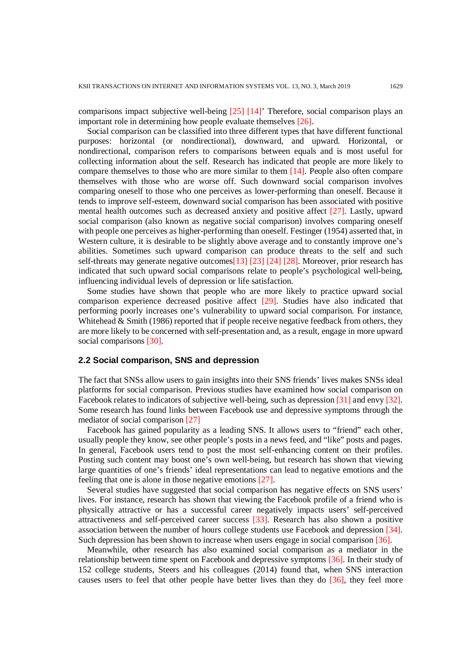comparisons impact subjective well-being [25] [14]' Therefore, social comparison plays an important role in determining how people evaluate themselves [26].

Social comparison can be classified into three different types that have different functional purposes: horizontal (or nondirectional), downward, and upward. Horizontal, or nondirectional, comparison refers to comparisons between equals and is most useful for collecting information about the self. Research has indicated that people are more likely to compare themselves to those who are more similar to them [14]. People also often compare themselves with those who are worse off. Such downward social comparison involves comparing oneself to those who one perceives as lower-performing than oneself. Because it tends to improve self-esteem, downward social comparison has been associated with positive mental health outcomes such as decreased anxiety and positive affect [27]. Lastly, upward social comparison (also known as negative social comparison) involves comparing oneself with people one perceives as higher-performing than oneself. Festinger (1954) asserted that, in Western culture, it is desirable to be slightly above average and to constantly improve one's abilities. Sometimes such upward comparison can produce threats to the self and such self-threats may generate negative outcomes[13] [23] [24] [28]. Moreover, prior research has indicated that such upward social comparisons relate to people's psychological well-being, influencing individual levels of depression or life satisfaction.

Some studies have shown that people who are more likely to practice upward social comparison experience decreased positive affect [29]. Studies have also indicated that performing poorly increases one's vulnerability to upward social comparison. For instance, Whitehead & Smith (1986) reported that if people receive negative feedback from others, they are more likely to be concerned with self-presentation and, as a result, engage in more upward social comparisons [30].

## **2.2 Social comparison, SNS and depression**

The fact that SNSs allow users to gain insights into their SNS friends' lives makes SNSs ideal platforms for social comparison. Previous studies have examined how social comparison on Facebook relates to indicators of subjective well-being, such as depression [31] and envy [32]. Some research has found links between Facebook use and depressive symptoms through the mediator of social comparison [27]

Facebook has gained popularity as a leading SNS. It allows users to "friend" each other, usually people they know, see other people's posts in a news feed, and "like" posts and pages. In general, Facebook users tend to post the most self-enhancing content on their profiles. Posting such content may boost one's own well-being, but research has shown that viewing large quantities of one's friends' ideal representations can lead to negative emotions and the feeling that one is alone in those negative emotions [27].

Several studies have suggested that social comparison has negative effects on SNS users' lives. For instance, research has shown that viewing the Facebook profile of a friend who is physically attractive or has a successful career negatively impacts users' self-perceived attractiveness and self-perceived career success [33]. Research has also shown a positive association between the number of hours college students use Facebook and depression [34]. Such depression has been shown to increase when users engage in social comparison [36].

Meanwhile, other research has also examined social comparison as a mediator in the relationship between time spent on Facebook and depressive symptoms [36]. In their study of 152 college students, Steers and his colleagues (2014) found that, when SNS interaction causes users to feel that other people have better lives than they do [36], they feel more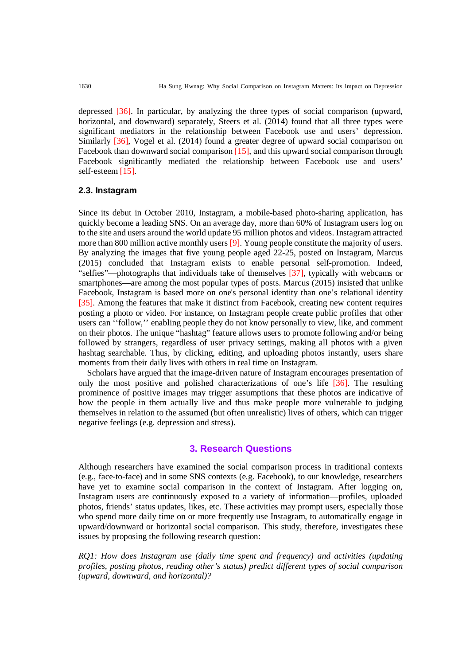depressed [36]. In particular, by analyzing the three types of social comparison (upward, horizontal, and downward) separately, Steers et al. (2014) found that all three types were significant mediators in the relationship between Facebook use and users' depression. Similarly [36], Vogel et al. (2014) found a greater degree of upward social comparison on Facebook than downward social comparison [15], and this upward social comparison through Facebook significantly mediated the relationship between Facebook use and users' self-esteem [15].

#### **2.3. Instagram**

Since its debut in October 2010, Instagram, a mobile-based photo-sharing application, has quickly become a leading SNS. On an average day, more than 60% of Instagram users log on to the site and users around the world update 95 million photos and videos. Instagram attracted more than 800 million active monthly users [9]. Young people constitute the majority of users. By analyzing the images that five young people aged 22-25, posted on Instagram, Marcus (2015) concluded that Instagram exists to enable personal self-promotion. Indeed, "selfies"—photographs that individuals take of themselves [37], typically with webcams or smartphones—are among the most popular types of posts[. Marcus \(2015\)](http://www.sciencedirect.com/science/article/pii/S0747563215303307%23bib25) insisted that unlike Facebook, Instagram is based more on one's personal identity than one's relational identity [35]. Among the features that make it distinct from Facebook, creating new content requires posting a photo or video. For instance, on Instagram people create public profiles that other users can "follow," enabling people they do not know personally to view, like, and comment on their photos. The unique "hashtag" feature allows users to promote following and/or being followed by strangers, regardless of user privacy settings, making all photos with a given hashtag searchable. Thus, by clicking, editing, and uploading photos instantly, users share moments from their daily lives with others in real time on Instagram.

Scholars have argued that the image-driven nature of Instagram encourages presentation of only the most positive and polished characterizations of one's life [36]. The resulting prominence of positive images may trigger assumptions that these photos are indicative of how the people in them actually live and thus make people more vulnerable to judging themselves in relation to the assumed (but often unrealistic) lives of others, which can trigger negative feelings (e.g. depression and stress).

# **3. Research Questions**

Although researchers have examined the social comparison process in traditional contexts (e.g., face-to-face) and in some SNS contexts (e.g. Facebook), to our knowledge, researchers have yet to examine social comparison in the context of Instagram. After logging on, Instagram users are continuously exposed to a variety of information—profiles, uploaded photos, friends' status updates, likes, etc. These activities may prompt users, especially those who spend more daily time on or more frequently use Instagram, to automatically engage in upward/downward or horizontal social comparison. This study, therefore, investigates these issues by proposing the following research question:

*RQ1: How does Instagram use (daily time spent and frequency) and activities (updating profiles, posting photos, reading other's status) predict different types of social comparison (upward, downward, and horizontal)?*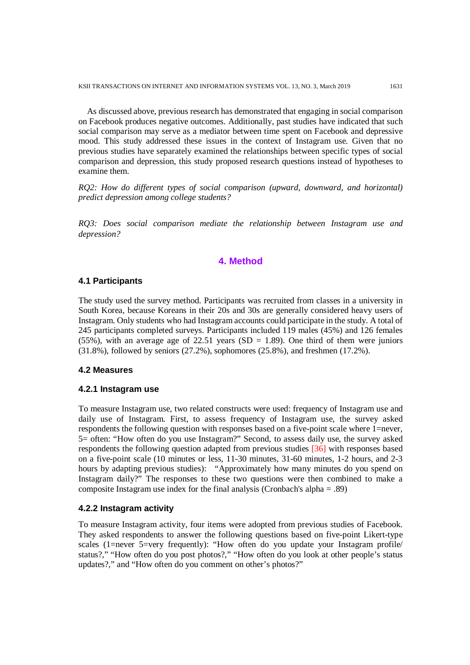As discussed above, previous research has demonstrated that engaging in social comparison on Facebook produces negative outcomes. Additionally, past studies have indicated that such social comparison may serve as a mediator between time spent on Facebook and depressive mood. This study addressed these issues in the context of Instagram use. Given that no previous studies have separately examined the relationships between specific types of social comparison and depression, this study proposed research questions instead of hypotheses to examine them.

*RQ2: How do different types of social comparison (upward, downward, and horizontal) predict depression among college students?* 

*RQ3: Does social comparison mediate the relationship between Instagram use and depression?*

# **4. Method**

# **4.1 Participants**

The study used the survey method. Participants was recruited from classes in a university in South Korea, because Koreans in their 20s and 30s are generally considered heavy users of Instagram. Only students who had Instagram accounts could participate in the study. A total of 245 participants completed surveys. Participants included 119 males (45%) and 126 females (55%), with an average age of 22.51 years (SD = 1.89). One third of them were juniors (31.8%), followed by seniors (27.2%), sophomores (25.8%), and freshmen (17.2%).

#### **4.2 Measures**

#### **4.2.1 Instagram use**

To measure Instagram use, two related constructs were used: frequency of Instagram use and daily use of Instagram. First, to assess frequency of Instagram use, the survey asked respondents the following question with responses based on a five-point scale where 1=never, 5= often: "How often do you use Instagram?" Second, to assess daily use, the survey asked respondents the following question adapted from previous studies [36] with responses based on a five-point scale (10 minutes or less, 11-30 minutes, 31-60 minutes, 1-2 hours, and 2-3 hours by adapting previous studies): "Approximately how many minutes do you spend on Instagram daily?" The responses to these two questions were then combined to make a composite Instagram use index for the final analysis (Cronbach's alpha = .89)

#### **4.2.2 Instagram activity**

To measure Instagram activity, four items were adopted from previous studies of Facebook. They asked respondents to answer the following questions based on five-point Likert-type scales (1=never 5=very frequently): "How often do you update your Instagram profile/ status?," "How often do you post photos?," "How often do you look at other people's status updates?," and "How often do you comment on other's photos?"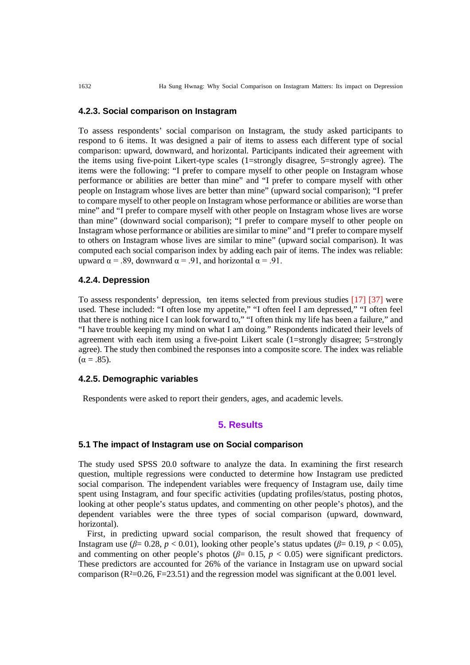## **4.2.3. Social comparison on Instagram**

To assess respondents' social comparison on Instagram, the study asked participants to respond to 6 items. It was designed a pair of items to assess each different type of social comparison: upward, downward, and horizontal. Participants indicated their agreement with the items using five-point Likert-type scales (1=strongly disagree, 5=strongly agree). The items were the following: "I prefer to compare myself to other people on Instagram whose performance or abilities are better than mine" and "I prefer to compare myself with other people on Instagram whose lives are better than mine" (upward social comparison); "I prefer to compare myself to other people on Instagram whose performance or abilities are worse than mine" and "I prefer to compare myself with other people on Instagram whose lives are worse than mine" (downward social comparison); "I prefer to compare myself to other people on Instagram whose performance or abilities are similar to mine" and "I prefer to compare myself to others on Instagram whose lives are similar to mine" (upward social comparison). It was computed each social comparison index by adding each pair of items. The index was reliable: upward  $\alpha$  = .89, downward  $\alpha$  = .91, and horizontal  $\alpha$  = .91.

## **4.2.4. Depression**

To assess respondents' depression, ten items selected from previous studies [17] [37] were used. These included: "I often lose my appetite," "I often feel I am depressed," "I often feel that there is nothing nice I can look forward to," "I often think my life has been a failure," and "I have trouble keeping my mind on what I am doing." Respondents indicated their levels of agreement with each item using a five-point Likert scale (1=strongly disagree; 5=strongly agree). The study then combined the responses into a composite score. The index was reliable  $(\alpha = .85)$ .

#### **4.2.5. Demographic variables**

Respondents were asked to report their genders, ages, and academic levels.

# **5. Results**

## **5.1 The impact of Instagram use on Social comparison**

The study used SPSS 20.0 software to analyze the data. In examining the first research question, multiple regressions were conducted to determine how Instagram use predicted social comparison. The independent variables were frequency of Instagram use, daily time spent using Instagram, and four specific activities (updating profiles/status, posting photos, looking at other people's status updates, and commenting on other people's photos), and the dependent variables were the three types of social comparison (upward, downward, horizontal).

First, in predicting upward social comparison, the result showed that frequency of Instagram use ( $\beta$ = 0.28, *p* < 0.01), looking other people's status updates ( $\beta$ = 0.19, *p* < 0.05), and commenting on other people's photos ( $\beta$ = 0.15,  $p$  < 0.05) were significant predictors. These predictors are accounted for 26% of the variance in Instagram use on upward social comparison ( $R^2=0.26$ ,  $F=23.51$ ) and the regression model was significant at the 0.001 level.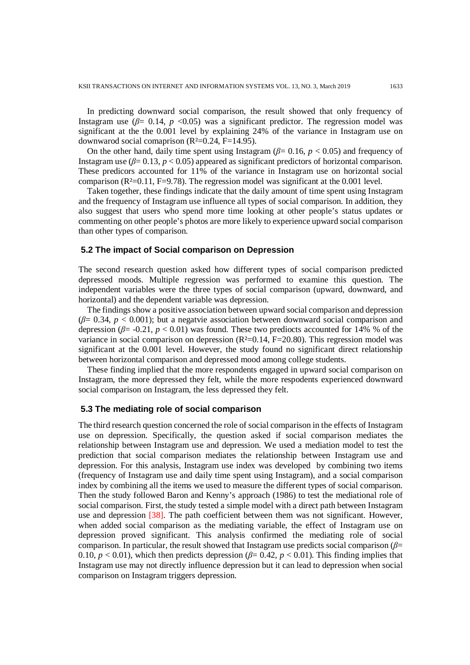In predicting downward social comparison, the result showed that only frequency of Instagram use  $(\beta = 0.14, p < 0.05)$  was a significant predictor. The regression model was significant at the the 0.001 level by explaining 24% of the variance in Instagram use on downwarod social comaprison  $(R<sup>2</sup>=0.24, F=14.95)$ .

On the other hand, daily time spent using Instagram (*β*= 0.16, *p* < 0.05) and frequency of Instagram use (*β*= 0.13, *p* < 0.05) appeared as significant predictors of horizontal comparison. These predicors accounted for 11% of the variance in Instagram use on horizontal social comparison  $(R<sup>2</sup>=0.11, F=9.78)$ . The regression model was significant at the 0.001 level.

Taken together, these findings indicate that the daily amount of time spent using Instagram and the frequency of Instagram use influence all types of social comparison. In addition, they also suggest that users who spend more time looking at other people's status updates or commenting on other people's photos are more likely to experience upward social comparison than other types of comparison.

#### **5.2 The impact of Social comparison on Depression**

The second research question asked how different types of social comparison predicted depressed moods. Multiple regression was performed to examine this question. The independent variables were the three types of social comparison (upward, downward, and horizontal) and the dependent variable was depression.

The findings show a positive association between upward social comparison and depression  $(\beta = 0.34, p < 0.001)$ ; but a negatvie association between downward social comparison and depression ( $\beta$ = -0.21,  $p$  < 0.01) was found. These two prediocts accounted for 14% % of the variance in social comparison on depression  $(R<sup>2</sup>=0.14, F=20.80)$ . This regression model was significant at the 0.001 level. However, the study found no significant direct relationship between horizontal comparison and depressed mood among college students.

These finding implied that the more respondents engaged in upward social comparison on Instagram, the more depressed they felt, while the more respodents experienced downward social comparison on Instagram, the less depressed they felt.

#### **5.3 The mediating role of social comparison**

The third research question concerned the role of social comparison in the effects of Instagram use on depression. Specifically, the question asked if social comparison mediates the relationship between Instagram use and depression. We used a mediation model to test the prediction that social comparison mediates the relationship between Instagram use and depression. For this analysis, Instagram use index was developed by combining two items (frequency of Instagram use and daily time spent using Instagram), and a social comparison index by combining all the items we used to measure the different types of social comparison. Then the study followed Baron and Kenny's approach (1986) to test the mediational role of social comparison. First, the study tested a simple model with a direct path between Instagram use and depression [38]. The path coefficient between them was not significant. However, when added social comparison as the mediating variable, the effect of Instagram use on depression proved significant. This analysis confirmed the mediating role of social comparison. In particular, the result showed that Instagram use predicts social comparison (*β*= 0.10,  $p < 0.01$ ), which then predicts depression ( $\beta = 0.42$ ,  $p < 0.01$ ). This finding implies that Instagram use may not directly influence depression but it can lead to depression when social comparison on Instagram triggers depression.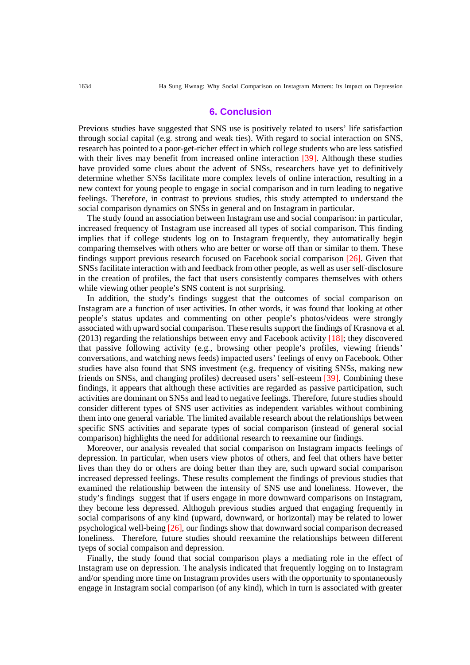#### **6. Conclusion**

Previous studies have suggested that SNS use is positively related to users' life satisfaction through social capital (e.g. strong and weak ties). With regard to social interaction on SNS, research has pointed to a poor-get-richer effect in which college students who are less satisfied with their lives may benefit from increased online interaction [39]. Although these studies have provided some clues about the advent of SNSs, researchers have yet to definitively determine whether SNSs facilitate more complex levels of online interaction, resulting in a new context for young people to engage in social comparison and in turn leading to negative feelings. Therefore, in contrast to previous studies, this study attempted to understand the social comparison dynamics on SNSs in general and on Instagram in particular.

The study found an association between Instagram use and social comparison: in particular, increased frequency of Instagram use increased all types of social comparison. This finding implies that if college students log on to Instagram frequently, they automatically begin comparing themselves with others who are better or worse off than or similar to them. These findings support previous research focused on Facebook social comparison [26]. Given that SNSs facilitate interaction with and feedback from other people, as well as user self-disclosure in the creation of profiles, the fact that users consistently compares themselves with others while viewing other people's SNS content is not surprising.

In addition, the study's findings suggest that the outcomes of social comparison on Instagram are a function of user activities. In other words, it was found that looking at other people's status updates and commenting on other people's photos/videos were strongly associated with upward social comparison. These results support the findings of Krasnova et al. (2013) regarding the relationships between envy and Facebook activity [18]; they discovered that passive following activity (e.g., browsing other people's profiles, viewing friends' conversations, and watching news feeds) impacted users' feelings of envy on Facebook. Other studies have also found that SNS investment (e.g. frequency of visiting SNSs, making new friends on SNSs, and changing profiles) decreased users' self-esteem [39]. Combining these findings, it appears that although these activities are regarded as passive participation, such activities are dominant on SNSs and lead to negative feelings. Therefore, future studies should consider different types of SNS user activities as independent variables without combining them into one general variable. The limited available research about the relationships between specific SNS activities and separate types of social comparison (instead of general social comparison) highlights the need for additional research to reexamine our findings.

Moreover, our analysis revealed that social comparison on Instagram impacts feelings of depression. In particular, when users view photos of others, and feel that others have better lives than they do or others are doing better than they are, such upward social comparison increased depressed feelings. These results complement the findings of previous studies that examined the relationship between the intensity of SNS use and loneliness. However, the study's findings suggest that if users engage in more downward comparisons on Instagram, they become less depressed. Althoguh previous studies argued that engaging frequently in social comparisons of any kind (upward, downward, or horizontal) may be related to lower psychological well-being [26], our findings show that downward social comparison decreased loneliness. Therefore, future studies should reexamine the relationships between different tyeps of social compaison and depression.

Finally, the study found that social comparison plays a mediating role in the effect of Instagram use on depression. The analysis indicated that frequently logging on to Instagram and/or spending more time on Instagram provides users with the opportunity to spontaneously engage in Instagram social comparison (of any kind), which in turn is associated with greater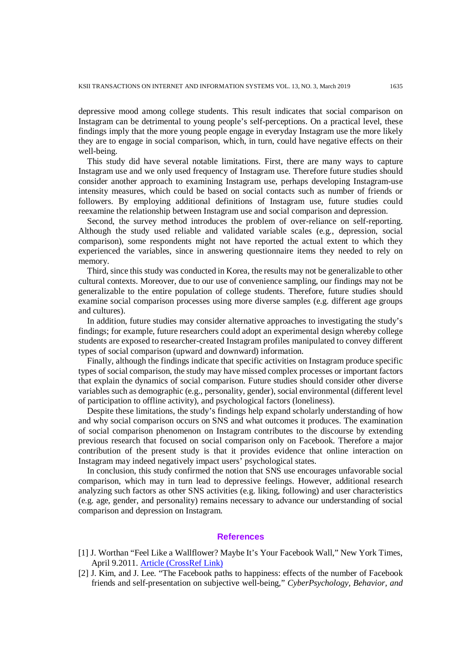depressive mood among college students. This result indicates that social comparison on Instagram can be detrimental to young people's self-perceptions. On a practical level, these findings imply that the more young people engage in everyday Instagram use the more likely they are to engage in social comparison, which, in turn, could have negative effects on their well-being.

This study did have several notable limitations. First, there are many ways to capture Instagram use and we only used frequency of Instagram use. Therefore future studies should consider another approach to examining Instagram use, perhaps developing Instagram-use intensity measures, which could be based on social contacts such as number of friends or followers. By employing additional definitions of Instagram use, future studies could reexamine the relationship between Instagram use and social comparison and depression.

Second, the survey method introduces the problem of over-reliance on self-reporting. Although the study used reliable and validated variable scales (e.g., depression, social comparison), some respondents might not have reported the actual extent to which they experienced the variables, since in answering questionnaire items they needed to rely on memory.

Third, since this study was conducted in Korea, the results may not be generalizable to other cultural contexts. Moreover, due to our use of convenience sampling, our findings may not be generalizable to the entire population of college students. Therefore, future studies should examine social comparison processes using more diverse samples (e.g. different age groups and cultures).

In addition, future studies may consider alternative approaches to investigating the study's findings; for example, future researchers could adopt an experimental design whereby college students are exposed to researcher-created Instagram profiles manipulated to convey different types of social comparison (upward and downward) information.

Finally, although the findings indicate that specific activities on Instagram produce specific types of social comparison, the study may have missed complex processes or important factors that explain the dynamics of social comparison. Future studies should consider other diverse variables such as demographic (e.g., personality, gender), social environmental (different level of participation to offline activity), and psychological factors (loneliness).

Despite these limitations, the study's findings help expand scholarly understanding of how and why social comparison occurs on SNS and what outcomes it produces. The examination of social comparison phenomenon on Instagram contributes to the discourse by extending previous research that focused on social comparison only on Facebook. Therefore a major contribution of the present study is that it provides evidence that online interaction on Instagram may indeed negatively impact users' psychological states.

In conclusion, this study confirmed the notion that SNS use encourages unfavorable social comparison, which may in turn lead to depressive feelings. However, additional research analyzing such factors as other SNS activities (e.g. liking, following) and user characteristics (e.g. age, gender, and personality) remains necessary to advance our understanding of social comparison and depression on Instagram.

### **References**

- [1] J. Worthan "Feel Like a Wallflower? Maybe It's Your Facebook Wall," New York Times, April 9.2011[. Article \(CrossRef Link\)](https://www.nytimes.com/2011/04/10/business/10ping.html)
- [2] J. Kim, and J. Lee. "The Facebook paths to happiness: effects of the number of Facebook friends and self-presentation on subjective well-being," *CyberPsychology, Behavior, and*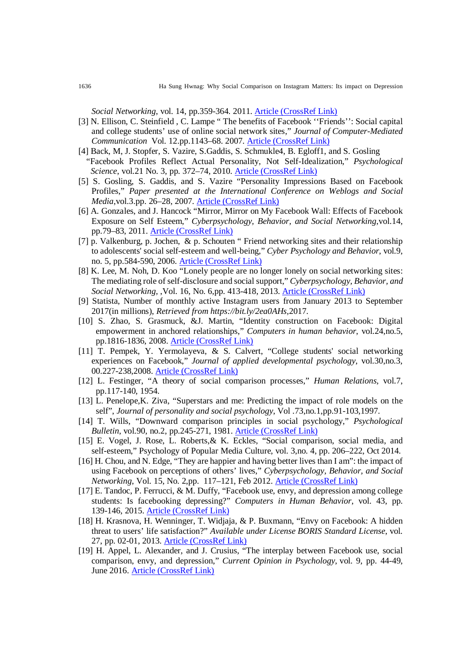*Social Networking*, vol. 14, pp.359-364. 2011. [Article \(CrossRef Link\)](https://doi.org/10.1089/cyber.2010.0374)

- [3] N. Ellison, C. Steinfield , C. Lampe " The benefits of Facebook ''Friends'': Social capital and college students' use of online social network sites," *Journal of Computer-Mediated Communication* Vol. 12.pp.1143–68. 2007. [Article \(CrossRef Link\)](https://doi.org/10.1111/j.1083-6101.2007.00367.x)
- [4] Back, M, J. Stopfer, S. Vazire, S.Gaddis, S. Schmukle4, B. Egloff1, and S. Gosling "Facebook Profiles Reflect Actual Personality, Not Self-Idealization," *Psychological Science*, vol.21 No. 3, pp. 372–74, 2010. [Article \(CrossRef Link\)](https://doi.org/10.1177/0956797609360756)
- [5] S. Gosling, S. Gaddis, and S. Vazire "Personality Impressions Based on Facebook Profiles," *Paper presented at the International Conference on Weblogs and Social Media*,vol.3.pp. 26–28, 2007. [Article \(CrossRef Link\)](https://icwsm.org/papers/3--Gosling-Gaddis-Vazire.pdf)
- [6] A. Gonzales, and J. Hancock "Mirror, Mirror on My Facebook Wall: Effects of Facebook Exposure on Self Esteem," *Cyberpsychology, Behavior, and Social Networking*,vol.14, pp.79–83, 2011. [Article \(CrossRef Link\)](https://doi.org/10.1089/cyber.2009.0411)
- [7] p. Valkenburg, p. [Jochen,](https://www.liebertpub.com/doi/abs/10.1089/cpb.2006.9.584) & p. Schouten " Friend networking sites and their relationship to adolescents' social self-esteem and well-being," *Cyber Psychology and Behavior*, vol.9, no. 5, pp.584-590, 2006. [Article \(CrossRef Link\)](https://doi.org/10.1089/cpb.2006.9.584)
- [8] K. Lee, M. Noh, D. Koo "Lonely people are no longer lonely on social networking sites: The mediating role of self-disclosure and social support," *Cyberpsychology, Behavior, and Social Networking,* [,Vol. 16, No. 6,](https://www.liebertpub.com/toc/cyber/16/6)pp. 413-418, 2013. [Article \(CrossRef Link\)](https://doi.org/10.1089/cyber.2012.0553)
- [9] Statista, Number of monthly active Instagram users from January 2013 to September 2017(in millions), *Retrieved from https://bit.ly/2ea0AHs,*2017.
- [10] S. Zhao, S. Grasmuck, &J. Martin, "Identity construction on Facebook: Digital empowerment in anchored relationships," *Computers in human behavior*, vol.24,no.5, pp.1816-1836, 2008. [Article \(CrossRef Link\)](https://doi.org/10.1016/j.chb.2008.02.012)
- [11] T. Pempek, Y. Yermolayeva, & S. Calvert, "College students' social networking experiences on Facebook," *Journal of applied developmental psychology*, vol.30,no.3, 00.227-238,2008. [Article \(CrossRef Link\)](https://doi.org/10.1016/j.appdev.2008.12.010)
- [12] L. Festinger, "A theory of social comparison processes," *Human Relations*, vol.7, pp.117-140, 1954.
- [13] L. Penelope,K. Ziva, "Superstars and me: Predicting the impact of role models on the self", *Journal of personality and social psychology*, Vol .73,no.1,pp.91-103,1997.
- [14] T. Wills, "Downward comparison principles in social psychology," *Psychological Bulletin*, vol.90, no.2, pp.245-271, 1981. [Article \(CrossRef Link\)](https://psycnet.apa.org/doiLanding?doi=10.1037%2F0022-3514.73.1.91)
- [15] E. Vogel, J. Rose, L. Roberts,& K. Eckles, "Social comparison, social media, and self-esteem," Psychology of Popular Media Culture, vol. 3,no. 4, pp. 206–222, Oct 2014.
- [16] H. Chou, and N. Edge, "They are happier and having better lives than I am": the impact of using Facebook on perceptions of others' lives," *[Cyberpsychology, Behavior, and Social](https://www.liebertpub.com/journal/cyber)  [Networking](https://www.liebertpub.com/journal/cyber)*, [Vol. 15, No. 2,](https://www.liebertpub.com/toc/cyber/15/2)pp. 117–121, Feb 2012. [Article \(CrossRef Link\)](https://www.researchgate.net/profile/Erin_Vogel3/publication/275507421_Social_comparison_social_media_and_self-esteem/links/55c2b71108aeb975673e47f6/Social-comparison-social-media-and-self-esteem.pdf)
- [17] E. Tandoc, P. Ferrucci, & M. Duffy, "Facebook use, envy, and depression among college students: Is facebooking depressing?" *Computers in Human Behavior*, vol. 43, pp. 139-146, 2015. [Article \(CrossRef Link\)](https://doi.org/10.1016/j.chb.2014.10.053)
- [18] H. Krasnova, H. Wenninger, T. Widjaja, & P. Buxmann, "Envy on Facebook: A hidden threat to users' life satisfaction?" *Available under License [BORIS Standard License](https://boris.unibe.ch/policies.html)*, vol. 27, pp. 02-01, 2013. [Article \(CrossRef Link\)](https://boris.unibe.ch/id/eprint/47080)
- [19] H. Appel, L. Alexander, and J. Crusius, "The interplay between Facebook use, social comparison, envy, and depression," *Current Opinion in Psychology*, vol. 9, pp. 44-49, June 2016. [Article \(CrossRef Link\)](https://doi.org/10.1016/j.copsyc.2015.10.006)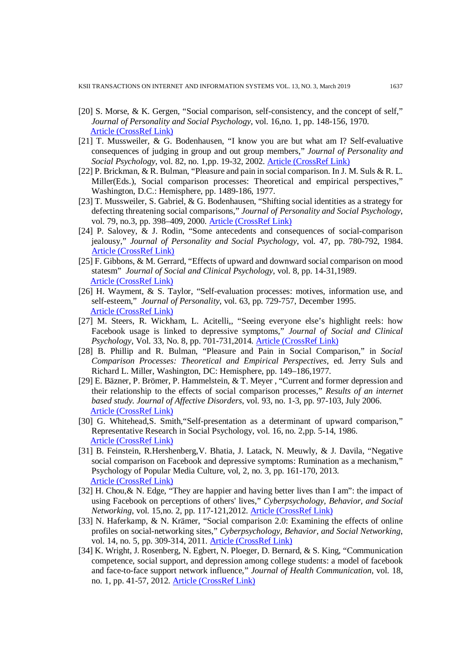- [20] S. Morse, & K. Gergen, "Social comparison, self-consistency, and the concept of self," *Journal of Personality and Social Psychology*, vol. 16,no. 1, pp. 148-156, 1970. [Article \(CrossRef Link\)](https://psycnet.apa.org/doi/10.1037/h0029862)
- [21] T. Mussweiler, & G. Bodenhausen, "I know you are but what am I? Self-evaluative consequences of judging in group and out group members," *Journal of Personality and Social Psychology*, vol. 82, no. 1,pp. 19-32, 2002. [Article \(CrossRef Link\)](https://s3.amazonaws.com/academia.edu.documents/37814181/JPSP02.pdf?AWSAccessKeyId=AKIAIWOWYYGZ2Y53UL3A&Expires=1551679009&Signature=qM2mQSvJfTVy1bT6cmXzHhUL%2BCU%3D&response-content-disposition=inline%3B%20filename%3DI_know_you_are_but_what_am_I_Self-evalua.pdf)
- [22] P. Brickman, & R. Bulman, "Pleasure and pain in social comparison. In J. M. Suls & R. L. Miller(Eds.), Social comparison processes: Theoretical and empirical perspectives," Washington, D.C.: Hemisphere, pp. 1489-186, 1977.
- [23] T. Mussweiler, S. Gabriel, & G. Bodenhausen, "Shifting social identities as a strategy for defecting threatening social comparisons," *Journal of Personality and Social Psychology*, vol. 79, no.3, pp. 398–409, 2000. [Article \(CrossRef Link\)](https://psycnet.apa.org/doi/10.1037/0022-3514.79.3.398)
- [24] P. Salovey, & J. Rodin, "Some antecedents and consequences of social-comparison jealousy," *Journal of Personality and Social Psychology*, vol. 47, pp. 780-792, 1984. [Article \(CrossRef Link\)](https://psycnet.apa.org/doi/10.1037/0022-3514.47.4.780)
- [25] F. Gibbons, & M. Gerrard, "Effects of upward and downward social comparison on mood statesm" *Journal of Social and Clinical Psychology*, vol. 8, pp. 14-31,1989. [Article \(CrossRef Link\)](https://guilfordjournals.com/doi/abs/10.1521/jscp.1989.8.1.14)
- [26] H. Wayment, & S. Taylor, "Self-evaluation processes: motives, information use, and self-esteem," *Journal of Personality*, vol. 63, pp. 729-757, December 1995. [Article \(CrossRef Link\)](https://doi.org/10.1111/j.1467-6494.1995.tb00315.x)
- [27] M. Steers, R. Wickham, L. Acitelli,, "Seeing everyone else's highlight reels: how Facebook usage is linked to depressive symptoms," *Journal of Social and Clinical Psychology*, Vol. 33, No. 8, pp. 701-731,2014. [Article \(CrossRef Link\)](https://guilfordjournals.com/doi/abs/10.1521/jscp.2014.33.8.701)
- [28] B. Phillip and R. Bulman, "Pleasure and Pain in Social Comparison," in *Social Comparison Processes: Theoretical and Empirical Perspectives*, ed. Jerry Suls and Richard L. Miller, Washington, DC: Hemisphere, pp. 149–186,1977.
- [29] E. Bäzner, P. Brömer, P. Hammelstein, & T. Meyer , "Current and former depression and their relationship to the effects of social comparison processes," *Results of an internet based study. Journal of Affective Disorders*, vol. 93, no. 1-3, pp. 97-103, July 2006. [Article \(CrossRef Link\)](https://doi.org/10.1016/j.jad.2006.02.017)
- [30] G. Whitehead, S. Smith, "Self-presentation as a determinant of upward comparison," Representative Research in Social Psychology, vol. 16, no. 2,pp. 5-14, 1986. [Article \(CrossRef Link\)](https://psycnet.apa.org/record/1988-35693-001)
- [31] B. Feinstein, R.Hershenberg,V. Bhatia, J. Latack, N. Meuwly, & J. Davila, "Negative social comparison on Facebook and depressive symptoms: Rumination as a mechanism," Psychology of Popular Media Culture, vol, 2, no. 3, pp. 161-170, 2013. [Article \(CrossRef Link\)](http://dx.doi.org/10.1037/a0033111)
- [32] H. Chou, & N. Edge, "They are happier and having better lives than I am": the impact of using Facebook on perceptions of others' lives," *Cyberpsychology, Behavior, and Social Networking*, vol. 15,no. 2, pp. 117-121,2012. [Article \(CrossRef Link\)](https://doi.org/10.1089/cyber.2011.0324)
- [33] N. Haferkamp, & N. Krämer, "Social comparison 2.0: Examining the effects of online profiles on social-networking sites," *Cyberpsychology, Behavior, and Social Networking*, vol. 14, no. 5, pp. 309-314, 2011. [Article \(CrossRef Link\)](https://doi.org/10.1089/cyber.2010.0120)
- [34] K. Wright, J. Rosenberg, N. Egbert, N. Ploeger, D. Bernard, & S. King, "Communication competence, social support, and depression among college students: a model of facebook and face-to-face support network influence," *Journal of Health Communication*, vol. 18, no. 1, pp. 41-57, 2012. [Article \(CrossRef Link\)](https://doi.org/10.1080/10810730.2012.688250)